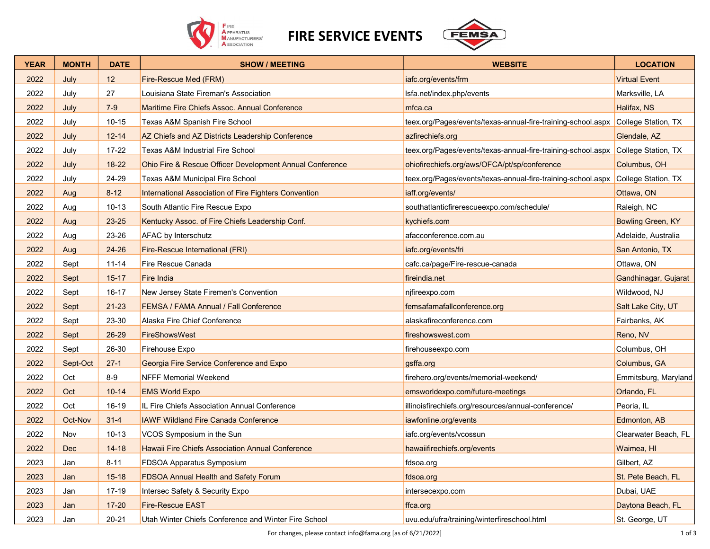

FIRE SERVICE EVENTS



| <b>YEAR</b> | <b>MONTH</b> | <b>DATE</b> | <b>SHOW / MEETING</b>                                    | <b>WEBSITE</b>                                               | <b>LOCATION</b>          |
|-------------|--------------|-------------|----------------------------------------------------------|--------------------------------------------------------------|--------------------------|
| 2022        | July         | 12          | Fire-Rescue Med (FRM)                                    | iafc.org/events/frm                                          | <b>Virtual Event</b>     |
| 2022        | July         | 27          | Louisiana State Fireman's Association                    | Isfa.net/index.php/events                                    | Marksville, LA           |
| 2022        | July         | $7-9$       | Maritime Fire Chiefs Assoc. Annual Conference            | mfca.ca                                                      | Halifax, NS              |
| 2022        | July         | $10 - 15$   | Texas A&M Spanish Fire School                            | teex.org/Pages/events/texas-annual-fire-training-school.aspx | College Station, TX      |
| 2022        | July         | $12 - 14$   | AZ Chiefs and AZ Districts Leadership Conference         | azfirechiefs.org                                             | Glendale, AZ             |
| 2022        | July         | 17-22       | <b>Texas A&amp;M Industrial Fire School</b>              | teex.org/Pages/events/texas-annual-fire-training-school.aspx | College Station, TX      |
| 2022        | July         | 18-22       | Ohio Fire & Rescue Officer Development Annual Conference | ohiofirechiefs.org/aws/OFCA/pt/sp/conference                 | Columbus, OH             |
| 2022        | July         | 24-29       | <b>Texas A&amp;M Municipal Fire School</b>               | teex.org/Pages/events/texas-annual-fire-training-school.aspx | College Station, TX      |
| 2022        | Aug          | $8 - 12$    | International Association of Fire Fighters Convention    | iaff.org/events/                                             | Ottawa, ON               |
| 2022        | Aug          | $10 - 13$   | South Atlantic Fire Rescue Expo                          | southatlanticfirerescueexpo.com/schedule/                    | Raleigh, NC              |
| 2022        | Aug          | 23-25       | Kentucky Assoc. of Fire Chiefs Leadership Conf.          | kychiefs.com                                                 | <b>Bowling Green, KY</b> |
| 2022        | Aug          | 23-26       | <b>AFAC</b> by Interschutz                               | afacconference.com.au                                        | Adelaide, Australia      |
| 2022        | Aug          | $24 - 26$   | Fire-Rescue International (FRI)                          | iafc.org/events/fri                                          | San Antonio, TX          |
| 2022        | Sept         | $11 - 14$   | Fire Rescue Canada                                       | cafc.ca/page/Fire-rescue-canada                              | Ottawa, ON               |
| 2022        | Sept         | $15 - 17$   | <b>Fire India</b>                                        | fireindia.net                                                | Gandhinagar, Gujarat     |
| 2022        | Sept         | $16 - 17$   | New Jersey State Firemen's Convention                    | njfireexpo.com                                               | Wildwood, NJ             |
| 2022        | Sept         | $21 - 23$   | FEMSA / FAMA Annual / Fall Conference                    | femsafamafallconference.org                                  | Salt Lake City, UT       |
| 2022        | Sept         | 23-30       | Alaska Fire Chief Conference                             | alaskafireconference.com                                     | Fairbanks, AK            |
| 2022        | Sept         | 26-29       | FireShowsWest                                            | fireshowswest.com                                            | Reno, NV                 |
| 2022        | Sept         | 26-30       | Firehouse Expo                                           | firehouseexpo.com                                            | Columbus, OH             |
| 2022        | Sept-Oct     | $27-1$      | Georgia Fire Service Conference and Expo                 | gsffa.org                                                    | Columbus, GA             |
| 2022        | Oct          | $8-9$       | <b>NFFF Memorial Weekend</b>                             | firehero.org/events/memorial-weekend/                        | Emmitsburg, Maryland     |
| 2022        | Oct          | $10 - 14$   | <b>EMS World Expo</b>                                    | emsworldexpo.com/future-meetings                             | Orlando, FL              |
| 2022        | Oct          | 16-19       | IL Fire Chiefs Association Annual Conference             | illinoisfirechiefs.org/resources/annual-conference/          | Peoria, IL               |
| 2022        | Oct-Nov      | $31 - 4$    | <b>IAWF Wildland Fire Canada Conference</b>              | iawfonline.org/events                                        | Edmonton, AB             |
| 2022        | Nov          | $10 - 13$   | VCOS Symposium in the Sun                                | iafc.org/events/vcossun                                      | Clearwater Beach, FL     |
| 2022        | <b>Dec</b>   | $14 - 18$   | <b>Hawaii Fire Chiefs Association Annual Conference</b>  | hawaiifirechiefs.org/events                                  | Waimea, HI               |
| 2023        | Jan          | $8 - 11$    | FDSOA Apparatus Symposium                                | fdsoa.org                                                    | Gilbert, AZ              |
| 2023        | Jan          | $15 - 18$   | <b>FDSOA Annual Health and Safety Forum</b>              | fdsoa.org                                                    | St. Pete Beach, FL       |
| 2023        | Jan          | $17-19$     | Intersec Safety & Security Expo                          | intersecexpo.com                                             | Dubai, UAE               |
| 2023        | Jan          | $17 - 20$   | <b>Fire-Rescue EAST</b>                                  | ffca.org                                                     | Daytona Beach, FL        |
| 2023        | Jan          | $20 - 21$   | Utah Winter Chiefs Conference and Winter Fire School     | uvu.edu/ufra/training/winterfireschool.html                  | St. George, UT           |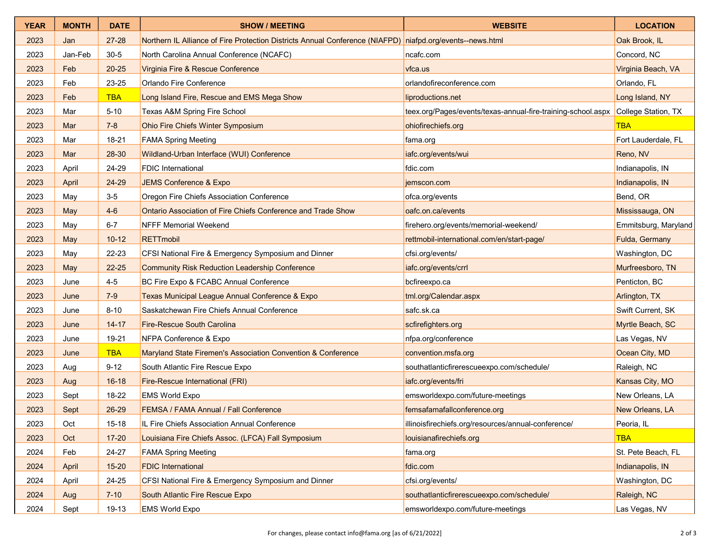| <b>YEAR</b> | <b>MONTH</b> | <b>DATE</b> | <b>SHOW / MEETING</b>                                                                                     | <b>WEBSITE</b>                                               | <b>LOCATION</b>      |
|-------------|--------------|-------------|-----------------------------------------------------------------------------------------------------------|--------------------------------------------------------------|----------------------|
| 2023        | Jan          | $27 - 28$   | Northern IL Alliance of Fire Protection Districts Annual Conference (NIAFPD) niafpd.org/events--news.html |                                                              | Oak Brook, IL        |
| 2023        | Jan-Feb      | $30 - 5$    | North Carolina Annual Conference (NCAFC)                                                                  | ncafc.com                                                    | Concord, NC          |
| 2023        | Feb          | $20 - 25$   | Virginia Fire & Rescue Conference                                                                         | vfca.us                                                      | Virginia Beach, VA   |
| 2023        | Feb          | 23-25       | Orlando Fire Conference                                                                                   | orlandofireconference.com                                    | Orlando, FL          |
| 2023        | Feb          | <b>TBA</b>  | Long Island Fire, Rescue and EMS Mega Show                                                                | liproductions.net                                            | Long Island, NY      |
| 2023        | Mar          | $5 - 10$    | Texas A&M Spring Fire School                                                                              | teex.org/Pages/events/texas-annual-fire-training-school.aspx | College Station, TX  |
| 2023        | Mar          | $7 - 8$     | Ohio Fire Chiefs Winter Symposium                                                                         | ohiofirechiefs.org                                           | <b>TBA</b>           |
| 2023        | Mar          | $18 - 21$   | <b>FAMA Spring Meeting</b>                                                                                | fama.org                                                     | Fort Lauderdale, FL  |
| 2023        | Mar          | 28-30       | Wildland-Urban Interface (WUI) Conference                                                                 | iafc.org/events/wui                                          | Reno, NV             |
| 2023        | April        | 24-29       | <b>FDIC</b> International                                                                                 | fdic.com                                                     | Indianapolis, IN     |
| 2023        | April        | 24-29       | JEMS Conference & Expo                                                                                    | jemscon.com                                                  | Indianapolis, IN     |
| 2023        | May          | $3-5$       | Oregon Fire Chiefs Association Conference                                                                 | ofca.org/events                                              | Bend, OR             |
| 2023        | May          | $4-6$       | Ontario Association of Fire Chiefs Conference and Trade Show                                              | oafc.on.ca/events                                            | Mississauga, ON      |
| 2023        | May          | $6 - 7$     | <b>NFFF Memorial Weekend</b>                                                                              | firehero.org/events/memorial-weekend/                        | Emmitsburg, Maryland |
| 2023        | May          | $10 - 12$   | <b>RETTmobil</b>                                                                                          | rettmobil-international.com/en/start-page/                   | Fulda, Germany       |
| 2023        | May          | 22-23       | CFSI National Fire & Emergency Symposium and Dinner                                                       | cfsi.org/events/                                             | Washington, DC       |
| 2023        | May          | $22 - 25$   | <b>Community Risk Reduction Leadership Conference</b>                                                     | iafc.org/events/crrl                                         | Murfreesboro, TN     |
| 2023        | June         | $4 - 5$     | BC Fire Expo & FCABC Annual Conference                                                                    | bcfireexpo.ca                                                | Penticton, BC        |
| 2023        | June         | $7-9$       | Texas Municipal League Annual Conference & Expo                                                           | tml.org/Calendar.aspx                                        | Arlington, TX        |
| 2023        | June         | $8 - 10$    | Saskatchewan Fire Chiefs Annual Conference                                                                | safc.sk.ca                                                   | Swift Current, SK    |
| 2023        | June         | $14 - 17$   | <b>Fire-Rescue South Carolina</b>                                                                         | scfirefighters.org                                           | Myrtle Beach, SC     |
| 2023        | June         | 19-21       | NFPA Conference & Expo                                                                                    | nfpa.org/conference                                          | Las Vegas, NV        |
| 2023        | June         | <b>TBA</b>  | Maryland State Firemen's Association Convention & Conference                                              | convention.msfa.org                                          | Ocean City, MD       |
| 2023        | Aug          | $9 - 12$    | South Atlantic Fire Rescue Expo                                                                           | southatlanticfirerescueexpo.com/schedule/                    | Raleigh, NC          |
| 2023        | Aug          | $16 - 18$   | <b>Fire-Rescue International (FRI)</b>                                                                    | iafc.org/events/fri                                          | Kansas City, MO      |
| 2023        | Sept         | 18-22       | <b>EMS World Expo</b>                                                                                     | emsworldexpo.com/future-meetings                             | New Orleans, LA      |
| 2023        | Sept         | 26-29       | <b>FEMSA / FAMA Annual / Fall Conference</b>                                                              | femsafamafallconference.org                                  | New Orleans, LA      |
| 2023        | Oct          | $15 - 18$   | IL Fire Chiefs Association Annual Conference                                                              | illinoisfirechiefs.org/resources/annual-conference/          | Peoria, IL           |
| 2023        | Oct          | $17 - 20$   | Louisiana Fire Chiefs Assoc. (LFCA) Fall Symposium                                                        | louisianafirechiefs.org                                      | <b>TBA</b>           |
| 2024        | Feb          | 24-27       | <b>FAMA Spring Meeting</b>                                                                                | fama.org                                                     | St. Pete Beach, FL   |
| 2024        | April        | $15 - 20$   | <b>FDIC</b> International                                                                                 | fdic.com                                                     | Indianapolis, IN     |
| 2024        | April        | 24-25       | CFSI National Fire & Emergency Symposium and Dinner                                                       | cfsi.org/events/                                             | Washington, DC       |
| 2024        | Aug          | $7 - 10$    | South Atlantic Fire Rescue Expo                                                                           | southatlanticfirerescueexpo.com/schedule/                    | Raleigh, NC          |
| 2024        | Sept         | 19-13       | <b>EMS World Expo</b>                                                                                     | emsworldexpo.com/future-meetings                             | Las Vegas, NV        |